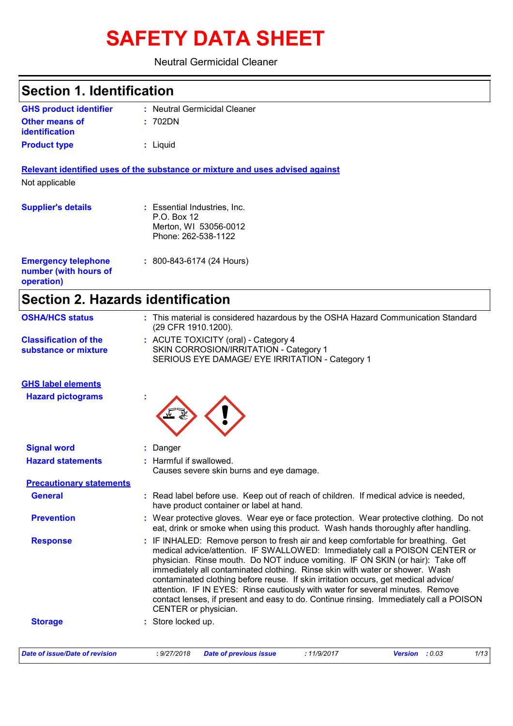# **SAFETY DATA SHEET**

#### Neutral Germicidal Cleaner

| <b>Section 1. Identification</b>                                  |                                                                                                                                                                                                                                                                                                                                                                                                                                                                                                                                                                                                                             |
|-------------------------------------------------------------------|-----------------------------------------------------------------------------------------------------------------------------------------------------------------------------------------------------------------------------------------------------------------------------------------------------------------------------------------------------------------------------------------------------------------------------------------------------------------------------------------------------------------------------------------------------------------------------------------------------------------------------|
| <b>GHS product identifier</b>                                     | : Neutral Germicidal Cleaner                                                                                                                                                                                                                                                                                                                                                                                                                                                                                                                                                                                                |
| <b>Other means of</b><br><b>identification</b>                    | : 702DN                                                                                                                                                                                                                                                                                                                                                                                                                                                                                                                                                                                                                     |
| <b>Product type</b>                                               | : Liquid                                                                                                                                                                                                                                                                                                                                                                                                                                                                                                                                                                                                                    |
| Not applicable                                                    | Relevant identified uses of the substance or mixture and uses advised against                                                                                                                                                                                                                                                                                                                                                                                                                                                                                                                                               |
| <b>Supplier's details</b>                                         | : Essential Industries, Inc.<br>P.O. Box 12<br>Merton, WI 53056-0012<br>Phone: 262-538-1122                                                                                                                                                                                                                                                                                                                                                                                                                                                                                                                                 |
| <b>Emergency telephone</b><br>number (with hours of<br>operation) | $: 800 - 843 - 6174 (24$ Hours)                                                                                                                                                                                                                                                                                                                                                                                                                                                                                                                                                                                             |
|                                                                   | <b>Section 2. Hazards identification</b>                                                                                                                                                                                                                                                                                                                                                                                                                                                                                                                                                                                    |
| <b>OSHA/HCS status</b>                                            | : This material is considered hazardous by the OSHA Hazard Communication Standard<br>(29 CFR 1910.1200).                                                                                                                                                                                                                                                                                                                                                                                                                                                                                                                    |
| <b>Classification of the</b><br>substance or mixture              | : ACUTE TOXICITY (oral) - Category 4<br>SKIN CORROSION/IRRITATION - Category 1<br>SERIOUS EYE DAMAGE/ EYE IRRITATION - Category 1                                                                                                                                                                                                                                                                                                                                                                                                                                                                                           |
| <b>GHS label elements</b>                                         |                                                                                                                                                                                                                                                                                                                                                                                                                                                                                                                                                                                                                             |
| <b>Hazard pictograms</b>                                          |                                                                                                                                                                                                                                                                                                                                                                                                                                                                                                                                                                                                                             |
| <b>Signal word</b>                                                | Danger                                                                                                                                                                                                                                                                                                                                                                                                                                                                                                                                                                                                                      |
| <b>Hazard statements</b>                                          | : Harmful if swallowed.<br>Causes severe skin burns and eye damage.                                                                                                                                                                                                                                                                                                                                                                                                                                                                                                                                                         |
| <b>Precautionary statements</b>                                   |                                                                                                                                                                                                                                                                                                                                                                                                                                                                                                                                                                                                                             |
| <b>General</b>                                                    | : Read label before use. Keep out of reach of children. If medical advice is needed,<br>have product container or label at hand.                                                                                                                                                                                                                                                                                                                                                                                                                                                                                            |
| <b>Prevention</b>                                                 | : Wear protective gloves. Wear eye or face protection. Wear protective clothing. Do not<br>eat, drink or smoke when using this product. Wash hands thoroughly after handling.                                                                                                                                                                                                                                                                                                                                                                                                                                               |
| <b>Response</b>                                                   | : IF INHALED: Remove person to fresh air and keep comfortable for breathing. Get<br>medical advice/attention. IF SWALLOWED: Immediately call a POISON CENTER or<br>physician. Rinse mouth. Do NOT induce vomiting. IF ON SKIN (or hair): Take off<br>immediately all contaminated clothing. Rinse skin with water or shower. Wash<br>contaminated clothing before reuse. If skin irritation occurs, get medical advice/<br>attention. IF IN EYES: Rinse cautiously with water for several minutes. Remove<br>contact lenses, if present and easy to do. Continue rinsing. Immediately call a POISON<br>CENTER or physician. |
| <b>Storage</b>                                                    | Store locked up.                                                                                                                                                                                                                                                                                                                                                                                                                                                                                                                                                                                                            |
|                                                                   |                                                                                                                                                                                                                                                                                                                                                                                                                                                                                                                                                                                                                             |

*Date of issue/Date of revision* **:** *9/27/2018 Date of previous issue : 11/9/2017 Version : 0.03 1/13*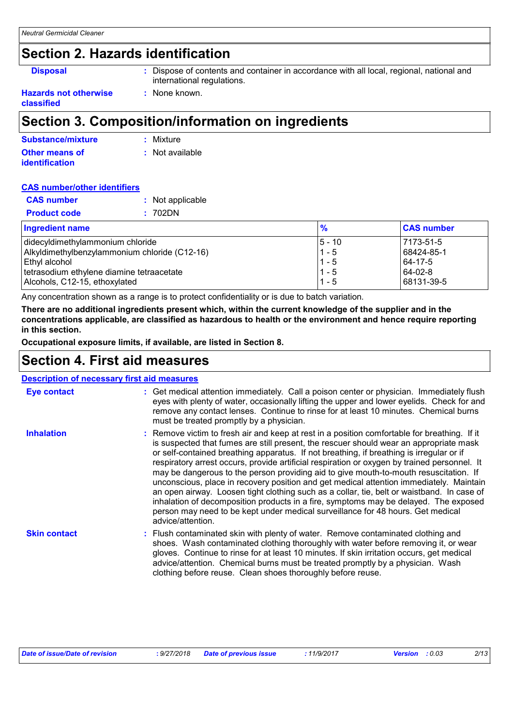### **Section 2. Hazards identification**

**Disposal :** Dispose of contents and container in accordance with all local, regional, national and international regulations.

#### **Hazards not otherwise classified**

### **Section 3. Composition/information on ingredients**

**:** None known.

| Substance/mixture     | : Mixture       |
|-----------------------|-----------------|
| Other means of        | : Not available |
| <i>identification</i> |                 |

#### **CAS number/other identifiers**

| <b>CAS</b> number   | : Not applicable |
|---------------------|------------------|
| <b>Product code</b> | : 702DN          |

| <b>Ingredient name</b>                        | $\frac{9}{6}$ | <b>CAS number</b> |
|-----------------------------------------------|---------------|-------------------|
| didecyldimethylammonium chloride              | $5 - 10$      | 7173-51-5         |
| Alkyldimethylbenzylammonium chloride (C12-16) | $1 - 5$       | 68424-85-1        |
| ∣Ethyl alcohol                                | $1 - 5$       | 64-17-5           |
| tetrasodium ethylene diamine tetraacetate     | $1 - 5$       | $ 64-02-8 $       |
| Alcohols, C12-15, ethoxylated                 | $1 - 5$       | 68131-39-5        |

Any concentration shown as a range is to protect confidentiality or is due to batch variation.

**There are no additional ingredients present which, within the current knowledge of the supplier and in the concentrations applicable, are classified as hazardous to health or the environment and hence require reporting in this section.**

**Occupational exposure limits, if available, are listed in Section 8.**

### **Section 4. First aid measures**

| <b>Description of necessary first aid measures</b> |                                                                                                                                                                                                                                                                                                                                                                                                                                                                                                                                                                                                                                                                                                                                                                                                                                                                      |
|----------------------------------------------------|----------------------------------------------------------------------------------------------------------------------------------------------------------------------------------------------------------------------------------------------------------------------------------------------------------------------------------------------------------------------------------------------------------------------------------------------------------------------------------------------------------------------------------------------------------------------------------------------------------------------------------------------------------------------------------------------------------------------------------------------------------------------------------------------------------------------------------------------------------------------|
| <b>Eye contact</b>                                 | : Get medical attention immediately. Call a poison center or physician. Immediately flush<br>eyes with plenty of water, occasionally lifting the upper and lower eyelids. Check for and<br>remove any contact lenses. Continue to rinse for at least 10 minutes. Chemical burns<br>must be treated promptly by a physician.                                                                                                                                                                                                                                                                                                                                                                                                                                                                                                                                          |
| <b>Inhalation</b>                                  | : Remove victim to fresh air and keep at rest in a position comfortable for breathing. If it<br>is suspected that fumes are still present, the rescuer should wear an appropriate mask<br>or self-contained breathing apparatus. If not breathing, if breathing is irregular or if<br>respiratory arrest occurs, provide artificial respiration or oxygen by trained personnel. It<br>may be dangerous to the person providing aid to give mouth-to-mouth resuscitation. If<br>unconscious, place in recovery position and get medical attention immediately. Maintain<br>an open airway. Loosen tight clothing such as a collar, tie, belt or waistband. In case of<br>inhalation of decomposition products in a fire, symptoms may be delayed. The exposed<br>person may need to be kept under medical surveillance for 48 hours. Get medical<br>advice/attention. |
| <b>Skin contact</b>                                | : Flush contaminated skin with plenty of water. Remove contaminated clothing and<br>shoes. Wash contaminated clothing thoroughly with water before removing it, or wear<br>gloves. Continue to rinse for at least 10 minutes. If skin irritation occurs, get medical<br>advice/attention. Chemical burns must be treated promptly by a physician. Wash<br>clothing before reuse. Clean shoes thoroughly before reuse.                                                                                                                                                                                                                                                                                                                                                                                                                                                |

| Date of issue/Date of revision | : 9/27/2018 Date of previous issue | : 11/9/2017 | <b>Version</b> : 0.03 | 2/13 |
|--------------------------------|------------------------------------|-------------|-----------------------|------|
|--------------------------------|------------------------------------|-------------|-----------------------|------|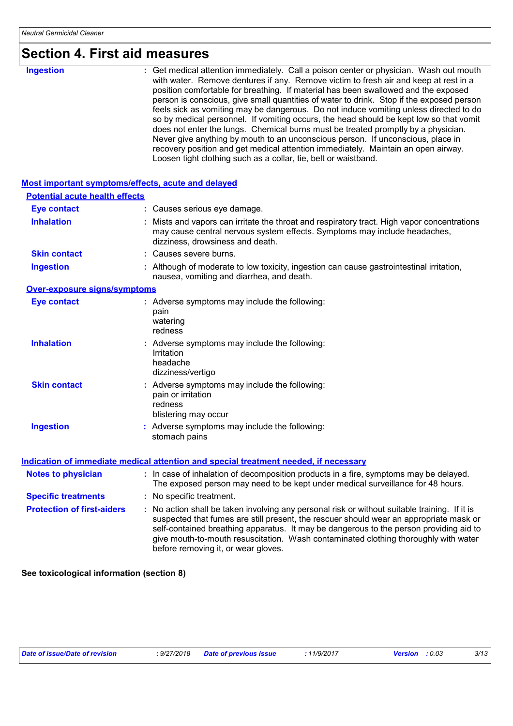# **Section 4. First aid measures**

| <b>Ingestion</b> | : Get medical attention immediately. Call a poison center or physician. Wash out mouth<br>with water. Remove dentures if any. Remove victim to fresh air and keep at rest in a<br>position comfortable for breathing. If material has been swallowed and the exposed<br>person is conscious, give small quantities of water to drink. Stop if the exposed person<br>feels sick as vomiting may be dangerous. Do not induce vomiting unless directed to do<br>so by medical personnel. If vomiting occurs, the head should be kept low so that vomit<br>does not enter the lungs. Chemical burns must be treated promptly by a physician.<br>Never give anything by mouth to an unconscious person. If unconscious, place in<br>recovery position and get medical attention immediately. Maintain an open airway. |
|------------------|------------------------------------------------------------------------------------------------------------------------------------------------------------------------------------------------------------------------------------------------------------------------------------------------------------------------------------------------------------------------------------------------------------------------------------------------------------------------------------------------------------------------------------------------------------------------------------------------------------------------------------------------------------------------------------------------------------------------------------------------------------------------------------------------------------------|
|                  | Loosen tight clothing such as a collar, tie, belt or waistband.                                                                                                                                                                                                                                                                                                                                                                                                                                                                                                                                                                                                                                                                                                                                                  |

| Most important symptoms/effects, acute and delayed |                                                                                                                                                                                                                                                                                                                                                                                                                 |
|----------------------------------------------------|-----------------------------------------------------------------------------------------------------------------------------------------------------------------------------------------------------------------------------------------------------------------------------------------------------------------------------------------------------------------------------------------------------------------|
| <b>Potential acute health effects</b>              |                                                                                                                                                                                                                                                                                                                                                                                                                 |
| <b>Eye contact</b>                                 | : Causes serious eye damage.                                                                                                                                                                                                                                                                                                                                                                                    |
| <b>Inhalation</b>                                  | : Mists and vapors can irritate the throat and respiratory tract. High vapor concentrations<br>may cause central nervous system effects. Symptoms may include headaches,<br>dizziness, drowsiness and death.                                                                                                                                                                                                    |
| <b>Skin contact</b>                                | : Causes severe burns.                                                                                                                                                                                                                                                                                                                                                                                          |
| <b>Ingestion</b>                                   | : Although of moderate to low toxicity, ingestion can cause gastrointestinal irritation,<br>nausea, vomiting and diarrhea, and death.                                                                                                                                                                                                                                                                           |
| <b>Over-exposure signs/symptoms</b>                |                                                                                                                                                                                                                                                                                                                                                                                                                 |
| <b>Eye contact</b>                                 | : Adverse symptoms may include the following:<br>pain<br>watering<br>redness                                                                                                                                                                                                                                                                                                                                    |
| <b>Inhalation</b>                                  | : Adverse symptoms may include the following:<br>Irritation<br>headache<br>dizziness/vertigo                                                                                                                                                                                                                                                                                                                    |
| <b>Skin contact</b>                                | : Adverse symptoms may include the following:<br>pain or irritation<br>redness<br>blistering may occur                                                                                                                                                                                                                                                                                                          |
| <b>Ingestion</b>                                   | : Adverse symptoms may include the following:<br>stomach pains                                                                                                                                                                                                                                                                                                                                                  |
|                                                    | Indication of immediate medical attention and special treatment needed, if necessary                                                                                                                                                                                                                                                                                                                            |
| <b>Notes to physician</b>                          | : In case of inhalation of decomposition products in a fire, symptoms may be delayed.<br>The exposed person may need to be kept under medical surveillance for 48 hours.                                                                                                                                                                                                                                        |
| <b>Specific treatments</b>                         | : No specific treatment.                                                                                                                                                                                                                                                                                                                                                                                        |
| <b>Protection of first-aiders</b>                  | : No action shall be taken involving any personal risk or without suitable training. If it is<br>suspected that fumes are still present, the rescuer should wear an appropriate mask or<br>self-contained breathing apparatus. It may be dangerous to the person providing aid to<br>give mouth-to-mouth resuscitation. Wash contaminated clothing thoroughly with water<br>before removing it, or wear gloves. |

**See toxicological information (section 8)**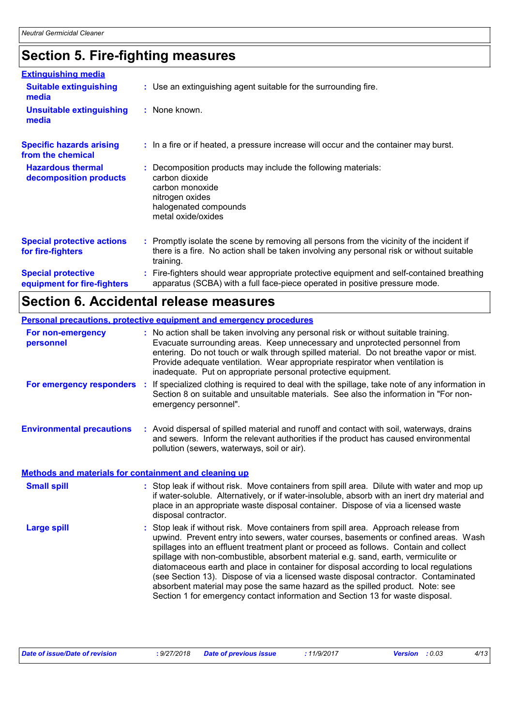# **Section 5. Fire-fighting measures**

| <b>Extinguishing media</b>                               |                                                                                                                                                                                                     |
|----------------------------------------------------------|-----------------------------------------------------------------------------------------------------------------------------------------------------------------------------------------------------|
| <b>Suitable extinguishing</b><br>media                   | : Use an extinguishing agent suitable for the surrounding fire.                                                                                                                                     |
| <b>Unsuitable extinguishing</b><br>media                 | : None known.                                                                                                                                                                                       |
| <b>Specific hazards arising</b><br>from the chemical     | : In a fire or if heated, a pressure increase will occur and the container may burst.                                                                                                               |
| <b>Hazardous thermal</b><br>decomposition products       | Decomposition products may include the following materials:<br>carbon dioxide<br>carbon monoxide<br>nitrogen oxides<br>halogenated compounds<br>metal oxide/oxides                                  |
| <b>Special protective actions</b><br>for fire-fighters   | : Promptly isolate the scene by removing all persons from the vicinity of the incident if<br>there is a fire. No action shall be taken involving any personal risk or without suitable<br>training. |
| <b>Special protective</b><br>equipment for fire-fighters | Fire-fighters should wear appropriate protective equipment and self-contained breathing<br>apparatus (SCBA) with a full face-piece operated in positive pressure mode.                              |

### **Section 6. Accidental release measures**

|                                                       | Personal precautions, protective equipment and emergency procedures                                                                                                                                                                                                                                                                                                                                                                                                                                                                                                                                                                                                                                          |
|-------------------------------------------------------|--------------------------------------------------------------------------------------------------------------------------------------------------------------------------------------------------------------------------------------------------------------------------------------------------------------------------------------------------------------------------------------------------------------------------------------------------------------------------------------------------------------------------------------------------------------------------------------------------------------------------------------------------------------------------------------------------------------|
| For non-emergency<br>personnel                        | : No action shall be taken involving any personal risk or without suitable training.<br>Evacuate surrounding areas. Keep unnecessary and unprotected personnel from<br>entering. Do not touch or walk through spilled material. Do not breathe vapor or mist.<br>Provide adequate ventilation. Wear appropriate respirator when ventilation is<br>inadequate. Put on appropriate personal protective equipment.                                                                                                                                                                                                                                                                                              |
| <b>For emergency responders :</b>                     | If specialized clothing is required to deal with the spillage, take note of any information in<br>Section 8 on suitable and unsuitable materials. See also the information in "For non-<br>emergency personnel".                                                                                                                                                                                                                                                                                                                                                                                                                                                                                             |
| <b>Environmental precautions</b>                      | : Avoid dispersal of spilled material and runoff and contact with soil, waterways, drains<br>and sewers. Inform the relevant authorities if the product has caused environmental<br>pollution (sewers, waterways, soil or air).                                                                                                                                                                                                                                                                                                                                                                                                                                                                              |
| Methods and materials for containment and cleaning up |                                                                                                                                                                                                                                                                                                                                                                                                                                                                                                                                                                                                                                                                                                              |
| <b>Small spill</b>                                    | : Stop leak if without risk. Move containers from spill area. Dilute with water and mop up<br>if water-soluble. Alternatively, or if water-insoluble, absorb with an inert dry material and<br>place in an appropriate waste disposal container. Dispose of via a licensed waste<br>disposal contractor.                                                                                                                                                                                                                                                                                                                                                                                                     |
| <b>Large spill</b>                                    | : Stop leak if without risk. Move containers from spill area. Approach release from<br>upwind. Prevent entry into sewers, water courses, basements or confined areas. Wash<br>spillages into an effluent treatment plant or proceed as follows. Contain and collect<br>spillage with non-combustible, absorbent material e.g. sand, earth, vermiculite or<br>diatomaceous earth and place in container for disposal according to local regulations<br>(see Section 13). Dispose of via a licensed waste disposal contractor. Contaminated<br>absorbent material may pose the same hazard as the spilled product. Note: see<br>Section 1 for emergency contact information and Section 13 for waste disposal. |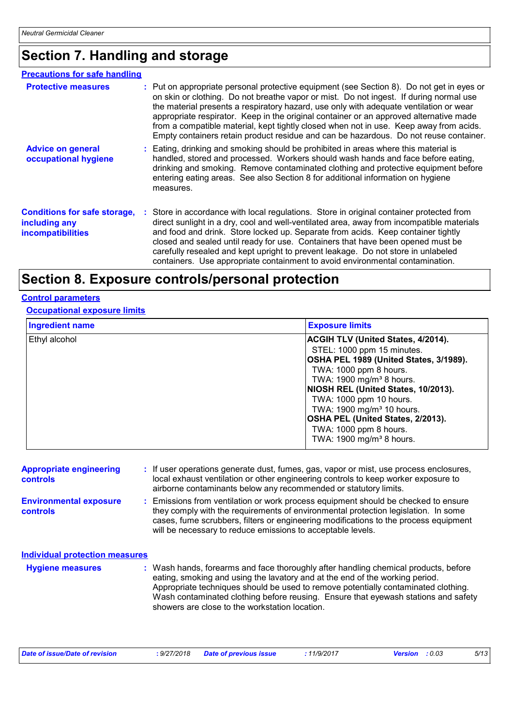# **Section 7. Handling and storage**

| <b>Precautions for safe handling</b>                                             |                                                                                                                                                                                                                                                                                                                                                                                                                                                                                                                                                            |
|----------------------------------------------------------------------------------|------------------------------------------------------------------------------------------------------------------------------------------------------------------------------------------------------------------------------------------------------------------------------------------------------------------------------------------------------------------------------------------------------------------------------------------------------------------------------------------------------------------------------------------------------------|
| <b>Protective measures</b>                                                       | : Put on appropriate personal protective equipment (see Section 8). Do not get in eyes or<br>on skin or clothing. Do not breathe vapor or mist. Do not ingest. If during normal use<br>the material presents a respiratory hazard, use only with adequate ventilation or wear<br>appropriate respirator. Keep in the original container or an approved alternative made<br>from a compatible material, kept tightly closed when not in use. Keep away from acids.<br>Empty containers retain product residue and can be hazardous. Do not reuse container. |
| <b>Advice on general</b><br>occupational hygiene                                 | : Eating, drinking and smoking should be prohibited in areas where this material is<br>handled, stored and processed. Workers should wash hands and face before eating,<br>drinking and smoking. Remove contaminated clothing and protective equipment before<br>entering eating areas. See also Section 8 for additional information on hygiene<br>measures.                                                                                                                                                                                              |
| <b>Conditions for safe storage,</b><br>including any<br><b>incompatibilities</b> | : Store in accordance with local regulations. Store in original container protected from<br>direct sunlight in a dry, cool and well-ventilated area, away from incompatible materials<br>and food and drink. Store locked up. Separate from acids. Keep container tightly<br>closed and sealed until ready for use. Containers that have been opened must be<br>carefully resealed and kept upright to prevent leakage. Do not store in unlabeled<br>containers. Use appropriate containment to avoid environmental contamination.                         |

### **Section 8. Exposure controls/personal protection**

#### **Control parameters**

#### **Occupational exposure limits**

| <b>Ingredient name</b> | <b>Exposure limits</b>                    |  |  |
|------------------------|-------------------------------------------|--|--|
| Ethyl alcohol          | <b>ACGIH TLV (United States, 4/2014).</b> |  |  |
|                        | STEL: 1000 ppm 15 minutes.                |  |  |
|                        | OSHA PEL 1989 (United States, 3/1989).    |  |  |
|                        | TWA: 1000 ppm 8 hours.                    |  |  |
|                        | TWA: 1900 mg/m <sup>3</sup> 8 hours.      |  |  |
|                        | NIOSH REL (United States, 10/2013).       |  |  |
|                        | TWA: 1000 ppm 10 hours.                   |  |  |
|                        | TWA: 1900 mg/m <sup>3</sup> 10 hours.     |  |  |
|                        | OSHA PEL (United States, 2/2013).         |  |  |
|                        | TWA: 1000 ppm 8 hours.                    |  |  |
|                        | TWA: 1900 mg/m <sup>3</sup> 8 hours.      |  |  |

| <b>Appropriate engineering</b><br><b>controls</b> | : If user operations generate dust, fumes, gas, vapor or mist, use process enclosures,<br>local exhaust ventilation or other engineering controls to keep worker exposure to<br>airborne contaminants below any recommended or statutory limits.                                                                                                |
|---------------------------------------------------|-------------------------------------------------------------------------------------------------------------------------------------------------------------------------------------------------------------------------------------------------------------------------------------------------------------------------------------------------|
| <b>Environmental exposure</b><br><b>controls</b>  | : Emissions from ventilation or work process equipment should be checked to ensure<br>they comply with the requirements of environmental protection legislation. In some<br>cases, fume scrubbers, filters or engineering modifications to the process equipment<br>will be necessary to reduce emissions to acceptable levels.                 |
| <b>Individual protection measures</b>             |                                                                                                                                                                                                                                                                                                                                                 |
| <b>Hygiene measures</b>                           | : Wash hands, forearms and face thoroughly after handling chemical products, before<br>eating, smoking and using the lavatory and at the end of the working period.<br>Appropriate techniques should be used to remove potentially contaminated clothing.<br>Wash contaminated clothing before reusing. Ensure that eyewash stations and safety |

| Date of issue/Date of revision | : 9/27/2018 Date of previous issue | 11/9/2017 | <b>Version</b> : 0.03 | 5/13 |
|--------------------------------|------------------------------------|-----------|-----------------------|------|
|                                |                                    |           |                       |      |

showers are close to the workstation location.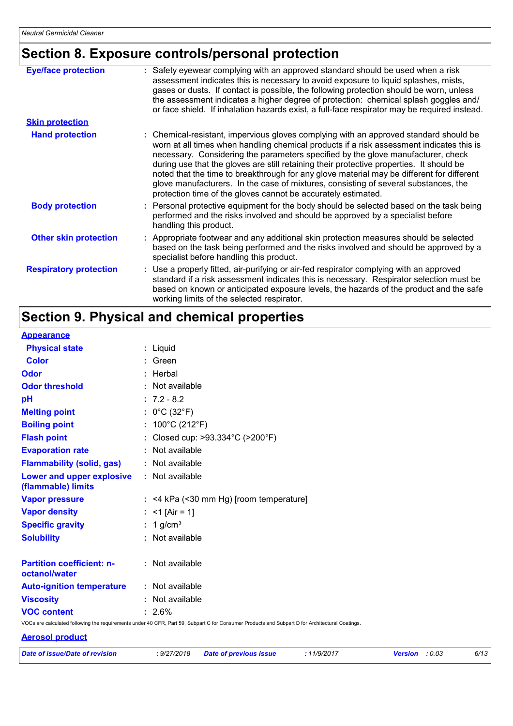# **Section 8. Exposure controls/personal protection**

| <b>Eye/face protection</b>    | : Safety eyewear complying with an approved standard should be used when a risk<br>assessment indicates this is necessary to avoid exposure to liquid splashes, mists,<br>gases or dusts. If contact is possible, the following protection should be worn, unless<br>the assessment indicates a higher degree of protection: chemical splash goggles and/<br>or face shield. If inhalation hazards exist, a full-face respirator may be required instead.                                                                                                                                                              |
|-------------------------------|------------------------------------------------------------------------------------------------------------------------------------------------------------------------------------------------------------------------------------------------------------------------------------------------------------------------------------------------------------------------------------------------------------------------------------------------------------------------------------------------------------------------------------------------------------------------------------------------------------------------|
| <b>Skin protection</b>        |                                                                                                                                                                                                                                                                                                                                                                                                                                                                                                                                                                                                                        |
| <b>Hand protection</b>        | : Chemical-resistant, impervious gloves complying with an approved standard should be<br>worn at all times when handling chemical products if a risk assessment indicates this is<br>necessary. Considering the parameters specified by the glove manufacturer, check<br>during use that the gloves are still retaining their protective properties. It should be<br>noted that the time to breakthrough for any glove material may be different for different<br>glove manufacturers. In the case of mixtures, consisting of several substances, the<br>protection time of the gloves cannot be accurately estimated. |
| <b>Body protection</b>        | : Personal protective equipment for the body should be selected based on the task being<br>performed and the risks involved and should be approved by a specialist before<br>handling this product.                                                                                                                                                                                                                                                                                                                                                                                                                    |
| <b>Other skin protection</b>  | : Appropriate footwear and any additional skin protection measures should be selected<br>based on the task being performed and the risks involved and should be approved by a<br>specialist before handling this product.                                                                                                                                                                                                                                                                                                                                                                                              |
| <b>Respiratory protection</b> | : Use a properly fitted, air-purifying or air-fed respirator complying with an approved<br>standard if a risk assessment indicates this is necessary. Respirator selection must be<br>based on known or anticipated exposure levels, the hazards of the product and the safe<br>working limits of the selected respirator.                                                                                                                                                                                                                                                                                             |

# **Section 9. Physical and chemical properties**

| <b>Appearance</b>                                 |                                                                                                                                                 |
|---------------------------------------------------|-------------------------------------------------------------------------------------------------------------------------------------------------|
| <b>Physical state</b>                             | : Liquid                                                                                                                                        |
| <b>Color</b>                                      | $:$ Green                                                                                                                                       |
| <b>Odor</b>                                       | : Herbal                                                                                                                                        |
| <b>Odor threshold</b>                             | : Not available                                                                                                                                 |
| pH                                                | $: 7.2 - 8.2$                                                                                                                                   |
| <b>Melting point</b>                              | : $0^{\circ}$ C (32 $^{\circ}$ F)                                                                                                               |
| <b>Boiling point</b>                              | : $100^{\circ}$ C (212 $^{\circ}$ F)                                                                                                            |
| <b>Flash point</b>                                | : Closed cup: >93.334°C (>200°F)                                                                                                                |
| <b>Evaporation rate</b>                           | : Not available                                                                                                                                 |
| <b>Flammability (solid, gas)</b>                  | : Not available                                                                                                                                 |
| Lower and upper explosive<br>(flammable) limits   | : Not available                                                                                                                                 |
| <b>Vapor pressure</b>                             | $:$ <4 kPa (<30 mm Hg) [room temperature]                                                                                                       |
| <b>Vapor density</b>                              | : $<$ 1 [Air = 1]                                                                                                                               |
| <b>Specific gravity</b>                           | $: 1$ g/cm <sup>3</sup>                                                                                                                         |
| <b>Solubility</b>                                 | : Not available                                                                                                                                 |
| <b>Partition coefficient: n-</b><br>octanol/water | : Not available                                                                                                                                 |
| <b>Auto-ignition temperature</b>                  | : Not available                                                                                                                                 |
| <b>Viscosity</b>                                  | : Not available                                                                                                                                 |
| <b>VOC content</b>                                | $: 2.6\%$                                                                                                                                       |
|                                                   | VOCs are calculated following the requirements under 40 CFR, Part 59, Subpart C for Consumer Products and Subpart D for Architectural Coatings. |

#### **Aerosol product**

| Date of issue/Date of revision | : 9/27/2018 Date of previous issue | 11/9/2017 | <b>Version</b> : 0.03 | 6/13 |
|--------------------------------|------------------------------------|-----------|-----------------------|------|
|                                |                                    |           |                       |      |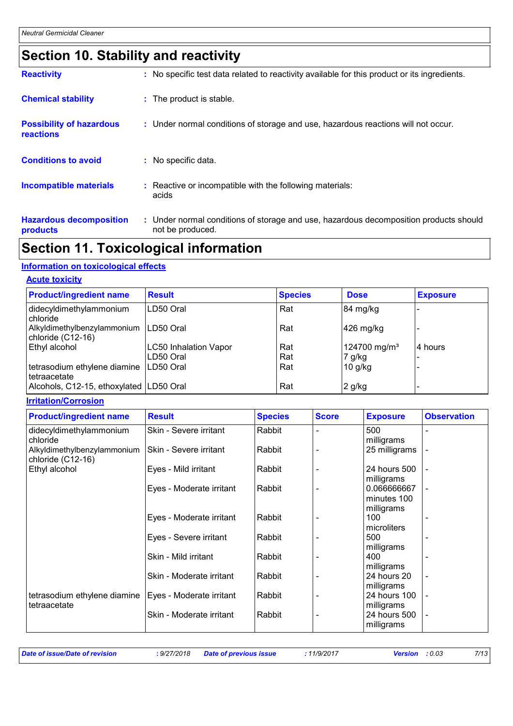# **Section 10. Stability and reactivity**

| <b>Reactivity</b>                            | : No specific test data related to reactivity available for this product or its ingredients.              |
|----------------------------------------------|-----------------------------------------------------------------------------------------------------------|
| <b>Chemical stability</b>                    | : The product is stable.                                                                                  |
| <b>Possibility of hazardous</b><br>reactions | : Under normal conditions of storage and use, hazardous reactions will not occur.                         |
| <b>Conditions to avoid</b>                   | : No specific data.                                                                                       |
| <b>Incompatible materials</b>                | : Reactive or incompatible with the following materials:<br>acids                                         |
| <b>Hazardous decomposition</b><br>products   | : Under normal conditions of storage and use, hazardous decomposition products should<br>not be produced. |

# **Section 11. Toxicological information**

#### **Information on toxicological effects**

#### **Acute toxicity**

| <b>Product/ingredient name</b>                   | <b>Result</b>                | <b>Species</b> | <b>Dose</b>              | <b>Exposure</b> |
|--------------------------------------------------|------------------------------|----------------|--------------------------|-----------------|
| didecyldimethylammonium<br>chloride              | LD50 Oral                    | Rat            | 84 mg/kg                 |                 |
| Alkyldimethylbenzylammonium<br>chloride (C12-16) | LD50 Oral                    | Rat            | 426 mg/kg                |                 |
| Ethyl alcohol                                    | <b>LC50 Inhalation Vapor</b> | Rat            | 124700 mg/m <sup>3</sup> | 4 hours         |
|                                                  | LD50 Oral                    | Rat            | 7 g/kg                   |                 |
| tetrasodium ethylene diamine<br>l tetraacetate   | LD50 Oral                    | Rat            | $10$ g/kg                |                 |
| Alcohols, C12-15, ethoxylated LD50 Oral          |                              | Rat            | $2$ g/kg                 |                 |

#### **Irritation/Corrosion**

| <b>Product/ingredient name</b>                   | <b>Result</b>            | <b>Species</b> | <b>Score</b>   | <b>Exposure</b> | <b>Observation</b> |
|--------------------------------------------------|--------------------------|----------------|----------------|-----------------|--------------------|
| didecyldimethylammonium                          | Skin - Severe irritant   | Rabbit         |                | 500             |                    |
| chloride                                         |                          |                |                | milligrams      |                    |
| Alkyldimethylbenzylammonium<br>chloride (C12-16) | Skin - Severe irritant   | Rabbit         |                | 25 milligrams   |                    |
| Ethyl alcohol                                    | Eyes - Mild irritant     | Rabbit         |                | 24 hours 500    |                    |
|                                                  |                          |                |                | milligrams      |                    |
|                                                  | Eyes - Moderate irritant | Rabbit         |                | 0.066666667     |                    |
|                                                  |                          |                |                | minutes 100     |                    |
|                                                  |                          |                |                | milligrams      |                    |
|                                                  | Eyes - Moderate irritant | Rabbit         |                | 100             |                    |
|                                                  |                          |                |                | microliters     |                    |
|                                                  | Eyes - Severe irritant   | Rabbit         |                | 500             |                    |
|                                                  |                          |                |                | milligrams      |                    |
|                                                  | Skin - Mild irritant     | Rabbit         |                | 400             |                    |
|                                                  |                          |                |                | milligrams      |                    |
|                                                  | Skin - Moderate irritant | Rabbit         |                | 24 hours 20     |                    |
|                                                  |                          |                |                | milligrams      |                    |
| tetrasodium ethylene diamine                     | Eyes - Moderate irritant | Rabbit         | $\blacksquare$ | 24 hours 100    | $\blacksquare$     |
| tetraacetate                                     |                          |                |                | milligrams      |                    |
|                                                  | Skin - Moderate irritant | Rabbit         |                | 24 hours 500    |                    |
|                                                  |                          |                |                | milligrams      |                    |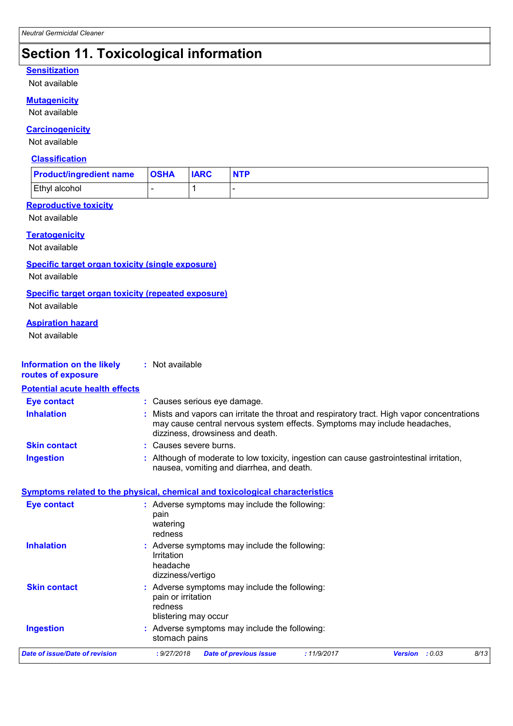### **Section 11. Toxicological information**

#### **Sensitization**

Not available

#### **Mutagenicity**

Not available

#### **Carcinogenicity**

Not available

#### **Classification**

| <b>Product/ingredient name</b> | <b>OSHA</b> | <b>IARC</b> | <b>NTP</b> |
|--------------------------------|-------------|-------------|------------|
| Ethyl alcohol                  |             |             |            |

#### **Reproductive toxicity**

Not available

#### **Teratogenicity**

Not available

#### **Specific target organ toxicity (single exposure)**

Not available

#### **Specific target organ toxicity (repeated exposure)**

Not available

#### **Aspiration hazard**

Not available

| <b>Information on the likely</b><br>routes of exposure | : Not available                                                                                                                                                                                            |
|--------------------------------------------------------|------------------------------------------------------------------------------------------------------------------------------------------------------------------------------------------------------------|
| <b>Potential acute health effects</b>                  |                                                                                                                                                                                                            |
| <b>Eye contact</b>                                     | : Causes serious eye damage.                                                                                                                                                                               |
| <b>Inhalation</b>                                      | Mists and vapors can irritate the throat and respiratory tract. High vapor concentrations<br>may cause central nervous system effects. Symptoms may include headaches,<br>dizziness, drowsiness and death. |
| <b>Skin contact</b>                                    | : Causes severe burns.                                                                                                                                                                                     |
| <b>Ingestion</b>                                       | Although of moderate to low toxicity, ingestion can cause gastrointestinal irritation,<br>nausea, vomiting and diarrhea, and death.                                                                        |
|                                                        | <b>Symptoms related to the physical, chemical and toxicological characteristics</b>                                                                                                                        |
| <b>Eye contact</b>                                     | : Adverse symptoms may include the following:<br>pain<br>watering<br>redness                                                                                                                               |
| <b>Inhalation</b>                                      | : Adverse symptoms may include the following:<br>Irritation<br>headache<br>dizziness/vertigo                                                                                                               |
| <b>Skin contact</b>                                    | : Adverse symptoms may include the following:<br>pain or irritation<br>redness<br>blistering may occur                                                                                                     |
| <b>Ingestion</b>                                       | Adverse symptoms may include the following:<br>stomach pains                                                                                                                                               |
| <b>Date of issue/Date of revision</b>                  | : 9/27/2018<br>: 11/9/2017<br><b>Version</b> : $0.03$<br>8/13<br><b>Date of previous issue</b>                                                                                                             |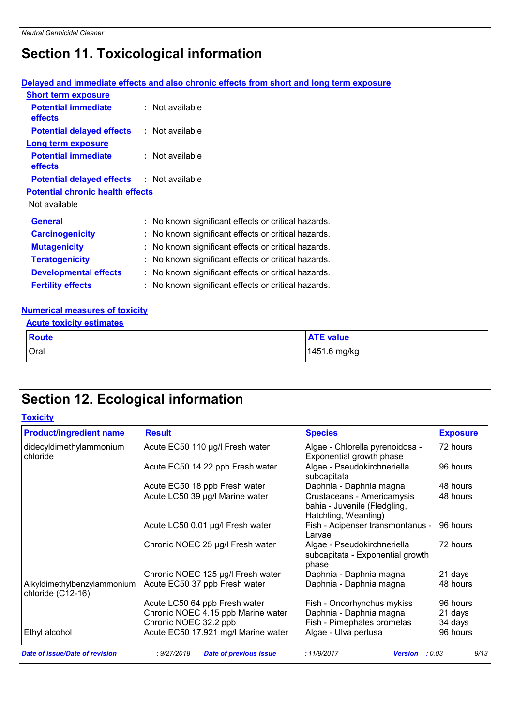# **Section 11. Toxicological information**

#### **Delayed and immediate effects and also chronic effects from short and long term exposure**

| <b>Short term exposure</b>              |                                                     |
|-----------------------------------------|-----------------------------------------------------|
| <b>Potential immediate</b><br>effects   | $:$ Not available                                   |
| <b>Potential delayed effects</b>        | : Not available                                     |
| <b>Long term exposure</b>               |                                                     |
| <b>Potential immediate</b><br>effects   | : Not available                                     |
| <b>Potential delayed effects</b>        | : Not available                                     |
| <b>Potential chronic health effects</b> |                                                     |
| Not available                           |                                                     |
| General                                 | : No known significant effects or critical hazards. |
| <b>Carcinogenicity</b>                  | : No known significant effects or critical hazards. |
| <b>Mutagenicity</b>                     | : No known significant effects or critical hazards. |
| <b>Teratogenicity</b>                   | : No known significant effects or critical hazards. |
| <b>Developmental effects</b>            | : No known significant effects or critical hazards. |
| <b>Fertility effects</b>                | : No known significant effects or critical hazards. |

#### **Numerical measures of toxicity**

| <b>Acute toxicity estimates</b> |                  |  |  |  |
|---------------------------------|------------------|--|--|--|
| Route                           | <b>ATE value</b> |  |  |  |
| <b>Oral</b>                     | 1451.6 mg/kg     |  |  |  |

# **Section 12. Ecological information**

| <b>Product/ingredient name</b>                   | <b>Result</b>                                | <b>Species</b>                                                                     | <b>Exposure</b> |  |
|--------------------------------------------------|----------------------------------------------|------------------------------------------------------------------------------------|-----------------|--|
| didecyldimethylammonium<br>chloride              | Acute EC50 110 µg/l Fresh water              | Algae - Chlorella pyrenoidosa -<br>Exponential growth phase                        | 72 hours        |  |
|                                                  | Acute EC50 14.22 ppb Fresh water             | Algae - Pseudokirchneriella<br>subcapitata                                         | 96 hours        |  |
|                                                  | Acute EC50 18 ppb Fresh water                | Daphnia - Daphnia magna                                                            | 48 hours        |  |
|                                                  | Acute LC50 39 µg/l Marine water              | Crustaceans - Americamysis<br>bahia - Juvenile (Fledgling,<br>Hatchling, Weanling) | 48 hours        |  |
|                                                  | Acute LC50 0.01 µg/l Fresh water             | Fish - Acipenser transmontanus -<br>Larvae                                         | 96 hours        |  |
|                                                  | Chronic NOEC 25 µg/l Fresh water             | Algae - Pseudokirchneriella<br>subcapitata - Exponential growth<br>phase           | 72 hours        |  |
|                                                  | Chronic NOEC 125 µg/l Fresh water            | Daphnia - Daphnia magna                                                            | 21 days         |  |
| Alkyldimethylbenzylammonium<br>chloride (C12-16) | Acute EC50 37 ppb Fresh water                | Daphnia - Daphnia magna                                                            | 48 hours        |  |
|                                                  | Acute LC50 64 ppb Fresh water                | Fish - Oncorhynchus mykiss                                                         | 96 hours        |  |
|                                                  | Chronic NOEC 4.15 ppb Marine water           | Daphnia - Daphnia magna                                                            | 21 days         |  |
|                                                  | Chronic NOEC 32.2 ppb                        | Fish - Pimephales promelas                                                         | 34 days         |  |
| Ethyl alcohol                                    | Acute EC50 17.921 mg/l Marine water          | Algae - Ulva pertusa                                                               | 96 hours        |  |
| <b>Date of issue/Date of revision</b>            | : 9/27/2018<br><b>Date of previous issue</b> | :11/9/2017<br><b>Version</b>                                                       | 9/13<br>: 0.03  |  |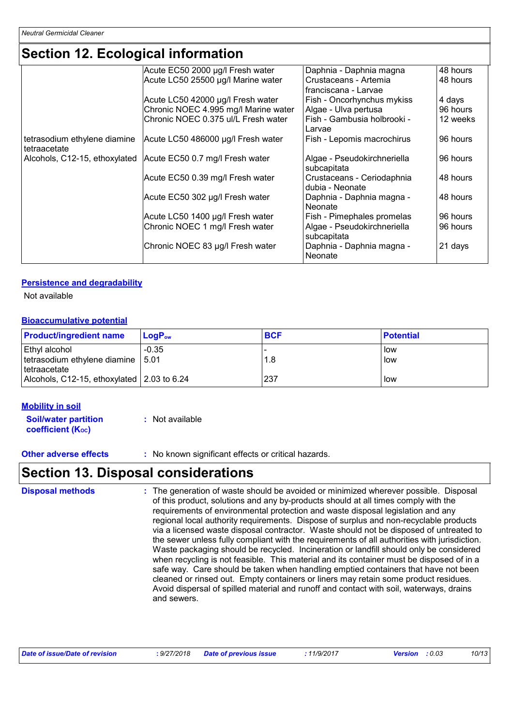### **Section 12. Ecological information**

| Acute EC50 2000 µg/l Fresh water    | Daphnia - Daphnia magna                                                                                                                                                                                                                                                                                                                                            | 48 hours                                                                                                                                                                                                                                                                                           |
|-------------------------------------|--------------------------------------------------------------------------------------------------------------------------------------------------------------------------------------------------------------------------------------------------------------------------------------------------------------------------------------------------------------------|----------------------------------------------------------------------------------------------------------------------------------------------------------------------------------------------------------------------------------------------------------------------------------------------------|
| Acute LC50 25500 µg/l Marine water  | Crustaceans - Artemia                                                                                                                                                                                                                                                                                                                                              | 48 hours                                                                                                                                                                                                                                                                                           |
|                                     | franciscana - Larvae                                                                                                                                                                                                                                                                                                                                               |                                                                                                                                                                                                                                                                                                    |
|                                     |                                                                                                                                                                                                                                                                                                                                                                    | 4 days                                                                                                                                                                                                                                                                                             |
|                                     |                                                                                                                                                                                                                                                                                                                                                                    | 96 hours                                                                                                                                                                                                                                                                                           |
| Chronic NOEC 0.375 ul/L Fresh water | Fish - Gambusia holbrooki -                                                                                                                                                                                                                                                                                                                                        | 12 weeks                                                                                                                                                                                                                                                                                           |
|                                     | Larvae                                                                                                                                                                                                                                                                                                                                                             |                                                                                                                                                                                                                                                                                                    |
|                                     |                                                                                                                                                                                                                                                                                                                                                                    | 96 hours                                                                                                                                                                                                                                                                                           |
|                                     |                                                                                                                                                                                                                                                                                                                                                                    |                                                                                                                                                                                                                                                                                                    |
|                                     |                                                                                                                                                                                                                                                                                                                                                                    | 96 hours                                                                                                                                                                                                                                                                                           |
|                                     |                                                                                                                                                                                                                                                                                                                                                                    |                                                                                                                                                                                                                                                                                                    |
|                                     |                                                                                                                                                                                                                                                                                                                                                                    | 48 hours                                                                                                                                                                                                                                                                                           |
|                                     | dubia - Neonate                                                                                                                                                                                                                                                                                                                                                    |                                                                                                                                                                                                                                                                                                    |
|                                     |                                                                                                                                                                                                                                                                                                                                                                    | 48 hours                                                                                                                                                                                                                                                                                           |
|                                     | Neonate                                                                                                                                                                                                                                                                                                                                                            |                                                                                                                                                                                                                                                                                                    |
|                                     |                                                                                                                                                                                                                                                                                                                                                                    | 96 hours                                                                                                                                                                                                                                                                                           |
|                                     |                                                                                                                                                                                                                                                                                                                                                                    | 96 hours                                                                                                                                                                                                                                                                                           |
|                                     |                                                                                                                                                                                                                                                                                                                                                                    |                                                                                                                                                                                                                                                                                                    |
|                                     |                                                                                                                                                                                                                                                                                                                                                                    | 21 days                                                                                                                                                                                                                                                                                            |
|                                     | Neonate                                                                                                                                                                                                                                                                                                                                                            |                                                                                                                                                                                                                                                                                                    |
|                                     | Acute LC50 42000 µg/l Fresh water<br>Chronic NOEC 4.995 mg/l Marine water<br>Acute LC50 486000 µg/l Fresh water<br>Alcohols, C12-15, ethoxylated Acute EC50 0.7 mg/l Fresh water<br>Acute EC50 0.39 mg/l Fresh water<br>Acute EC50 302 µg/l Fresh water<br>Acute LC50 1400 µg/l Fresh water<br>Chronic NOEC 1 mg/l Fresh water<br>Chronic NOEC 83 µg/l Fresh water | Fish - Oncorhynchus mykiss<br>Algae - Ulva pertusa<br>Fish - Lepomis macrochirus<br>Algae - Pseudokirchneriella<br>subcapitata<br>Crustaceans - Ceriodaphnia<br>Daphnia - Daphnia magna -<br>Fish - Pimephales promelas<br>Algae - Pseudokirchneriella<br>subcapitata<br>Daphnia - Daphnia magna - |

#### **Persistence and degradability**

Not available

#### **Bioaccumulative potential**

| <b>Product/ingredient name</b>             | $LoaPow$ | <b>BCF</b> | <b>Potential</b> |
|--------------------------------------------|----------|------------|------------------|
| Ethyl alcohol                              | $-0.35$  |            | low              |
| tetrasodium ethylene diamine   5.01        |          | 1.8        | low              |
| Itetraacetate                              |          |            |                  |
| Alcohols, C12-15, ethoxylated 2.03 to 6.24 |          | 237        | low              |

#### **Mobility in soil**

**Soil/water partition coefficient (KOC) :** Not available

**Other adverse effects** : No known significant effects or critical hazards.

### **Section 13. Disposal considerations**

The generation of waste should be avoided or minimized wherever possible. Disposal of this product, solutions and any by-products should at all times comply with the requirements of environmental protection and waste disposal legislation and any regional local authority requirements. Dispose of surplus and non-recyclable products via a licensed waste disposal contractor. Waste should not be disposed of untreated to the sewer unless fully compliant with the requirements of all authorities with jurisdiction. Waste packaging should be recycled. Incineration or landfill should only be considered when recycling is not feasible. This material and its container must be disposed of in a safe way. Care should be taken when handling emptied containers that have not been cleaned or rinsed out. Empty containers or liners may retain some product residues. Avoid dispersal of spilled material and runoff and contact with soil, waterways, drains and sewers. **Disposal methods :**

|  | Date of issue/Date of revision | : 9/27/2018 | <b>Date of previous issue</b> | .11/9/2017 | Version<br>:0.03 |  | 10/13 |
|--|--------------------------------|-------------|-------------------------------|------------|------------------|--|-------|
|--|--------------------------------|-------------|-------------------------------|------------|------------------|--|-------|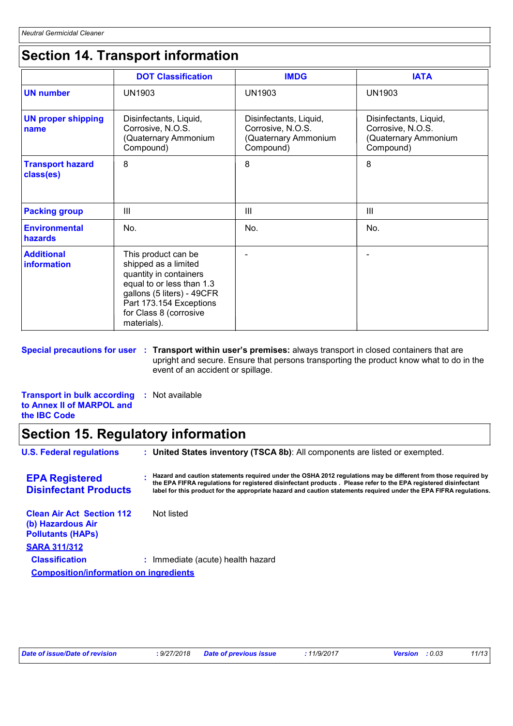# **Section 14. Transport information**

|                                      | <b>DOT Classification</b>                                                                                                                                                                            | <b>IMDG</b>                                                                      | <b>IATA</b>                                                                      |
|--------------------------------------|------------------------------------------------------------------------------------------------------------------------------------------------------------------------------------------------------|----------------------------------------------------------------------------------|----------------------------------------------------------------------------------|
| <b>UN number</b>                     | <b>UN1903</b>                                                                                                                                                                                        | <b>UN1903</b>                                                                    | <b>UN1903</b>                                                                    |
| <b>UN proper shipping</b><br>name    | Disinfectants, Liquid,<br>Corrosive, N.O.S.<br>(Quaternary Ammonium<br>Compound)                                                                                                                     | Disinfectants, Liquid,<br>Corrosive, N.O.S.<br>(Quaternary Ammonium<br>Compound) | Disinfectants, Liquid,<br>Corrosive, N.O.S.<br>(Quaternary Ammonium<br>Compound) |
| <b>Transport hazard</b><br>class(es) | 8                                                                                                                                                                                                    | 8                                                                                | 8                                                                                |
| <b>Packing group</b>                 | Ш                                                                                                                                                                                                    | Ш                                                                                | $\mathbf{III}$                                                                   |
| <b>Environmental</b><br>hazards      | No.                                                                                                                                                                                                  | No.                                                                              | No.                                                                              |
| <b>Additional</b><br>information     | This product can be<br>shipped as a limited<br>quantity in containers<br>equal to or less than 1.3<br>gallons (5 liters) - 49CFR<br>Part 173.154 Exceptions<br>for Class 8 (corrosive<br>materials). |                                                                                  |                                                                                  |

**Special precautions for user : Transport within user's premises:** always transport in closed containers that are upright and secure. Ensure that persons transporting the product know what to do in the event of an accident or spillage.

**Transport in bulk according :** Not available **to Annex II of MARPOL and the IBC Code**

### **Section 15. Regulatory information**

| <b>U.S. Federal regulations</b>                                                   | : United States inventory (TSCA 8b): All components are listed or exempted.                                                                                                                                                                                                                                                                             |  |  |  |  |
|-----------------------------------------------------------------------------------|---------------------------------------------------------------------------------------------------------------------------------------------------------------------------------------------------------------------------------------------------------------------------------------------------------------------------------------------------------|--|--|--|--|
| <b>EPA Registered</b><br><b>Disinfectant Products</b>                             | Hazard and caution statements required under the OSHA 2012 requiations may be different from those required by<br>the EPA FIFRA regulations for registered disinfectant products. Please refer to the EPA registered disinfectant<br>label for this product for the appropriate hazard and caution statements required under the EPA FIFRA requlations. |  |  |  |  |
| <b>Clean Air Act Section 112</b><br>(b) Hazardous Air<br><b>Pollutants (HAPs)</b> | Not listed                                                                                                                                                                                                                                                                                                                                              |  |  |  |  |
| <b>SARA 311/312</b>                                                               |                                                                                                                                                                                                                                                                                                                                                         |  |  |  |  |
| <b>Classification</b>                                                             | : Immediate (acute) health hazard                                                                                                                                                                                                                                                                                                                       |  |  |  |  |
| <b>Composition/information on ingredients</b>                                     |                                                                                                                                                                                                                                                                                                                                                         |  |  |  |  |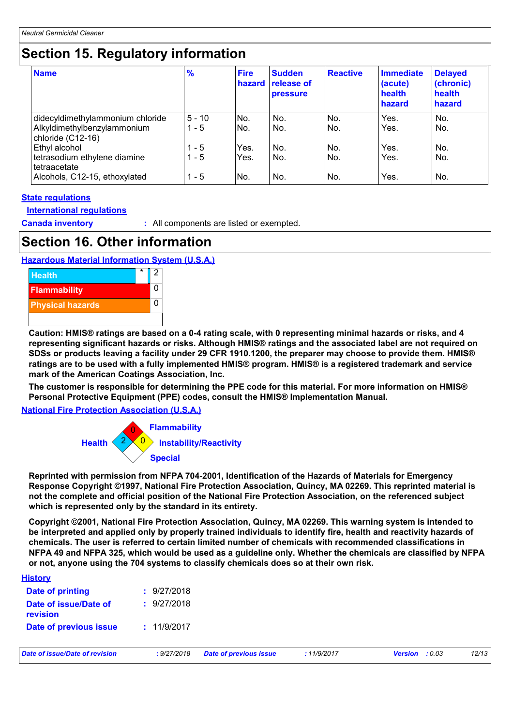### **Section 15. Regulatory information**

| <b>Name</b>                                                                          | $\frac{9}{6}$       | <b>Fire</b><br>hazard | <b>Sudden</b><br>release of<br><b>pressure</b> | <b>Reactive</b> | <b>Immediate</b><br>(acute)<br>health<br>hazard | <b>Delayed</b><br>(chronic)<br>health<br>hazard |
|--------------------------------------------------------------------------------------|---------------------|-----------------------|------------------------------------------------|-----------------|-------------------------------------------------|-------------------------------------------------|
| didecyldimethylammonium chloride<br>Alkyldimethylbenzylammonium<br>chloride (C12-16) | $5 - 10$<br>$1 - 5$ | No.<br>INo.           | No.<br>No.                                     | No.<br>No.      | Yes.<br>Yes.                                    | No.<br>No.                                      |
| Ethyl alcohol<br>tetrasodium ethylene diamine<br>tetraacetate                        | $1 - 5$<br>$1 - 5$  | Yes.<br>Yes.          | No.<br>No.                                     | No.<br>No.      | Yes.<br>Yes.                                    | No.<br>No.                                      |
| Alcohols, C12-15, ethoxylated                                                        | $1 - 5$             | No.                   | No.                                            | No.             | Yes.                                            | No.                                             |

#### **State regulations**

**International regulations**

**History**

**Canada inventory :** All components are listed or exempted.

### **Section 16. Other information**

#### **Hazardous Material Information System (U.S.A.)**



**Caution: HMIS® ratings are based on a 0-4 rating scale, with 0 representing minimal hazards or risks, and 4 representing significant hazards or risks. Although HMIS® ratings and the associated label are not required on SDSs or products leaving a facility under 29 CFR 1910.1200, the preparer may choose to provide them. HMIS® ratings are to be used with a fully implemented HMIS® program. HMIS® is a registered trademark and service mark of the American Coatings Association, Inc.**

**The customer is responsible for determining the PPE code for this material. For more information on HMIS® Personal Protective Equipment (PPE) codes, consult the HMIS® Implementation Manual.**

**National Fire Protection Association (U.S.A.)**



**Reprinted with permission from NFPA 704-2001, Identification of the Hazards of Materials for Emergency Response Copyright ©1997, National Fire Protection Association, Quincy, MA 02269. This reprinted material is not the complete and official position of the National Fire Protection Association, on the referenced subject which is represented only by the standard in its entirety.**

**Copyright ©2001, National Fire Protection Association, Quincy, MA 02269. This warning system is intended to be interpreted and applied only by properly trained individuals to identify fire, health and reactivity hazards of chemicals. The user is referred to certain limited number of chemicals with recommended classifications in NFPA 49 and NFPA 325, which would be used as a guideline only. Whether the chemicals are classified by NFPA or not, anyone using the 704 systems to classify chemicals does so at their own risk.**

| <u><b>HISWIY</b></u><br>Date of printing | : 9/27/2018 |
|------------------------------------------|-------------|
| Date of issue/Date of<br>revision        | : 9/27/2018 |
| Date of previous issue                   | : 11/9/2017 |

*Date of issue/Date of revision* **:** *9/27/2018 Date of previous issue : 11/9/2017 Version : 0.03 12/13*